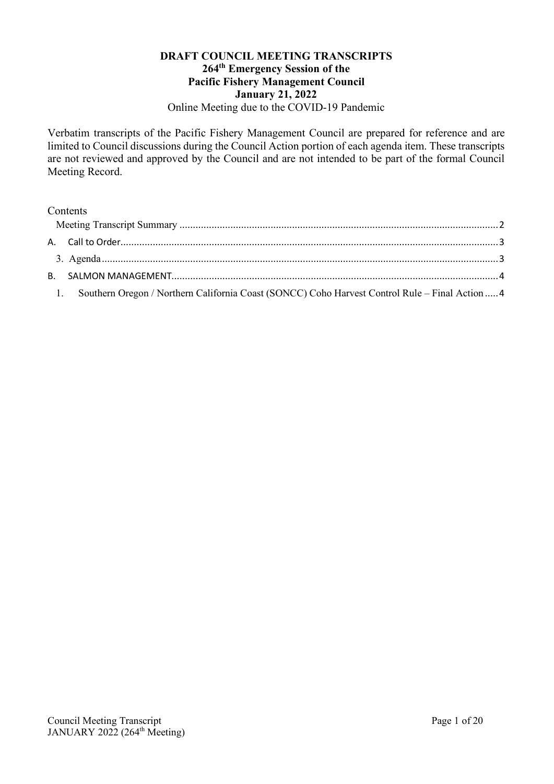#### **DRAFT COUNCIL MEETING TRANSCRIPTS 264th Emergency Session of the Pacific Fishery Management Council January 21, 2022** Online Meeting due to the COVID-19 Pandemic

Verbatim transcripts of the Pacific Fishery Management Council are prepared for reference and are limited to Council discussions during the Council Action portion of each agenda item. These transcripts are not reviewed and approved by the Council and are not intended to be part of the formal Council Meeting Record.

## Contents

| 1. Southern Oregon / Northern California Coast (SONCC) Coho Harvest Control Rule - Final Action  4 |  |
|----------------------------------------------------------------------------------------------------|--|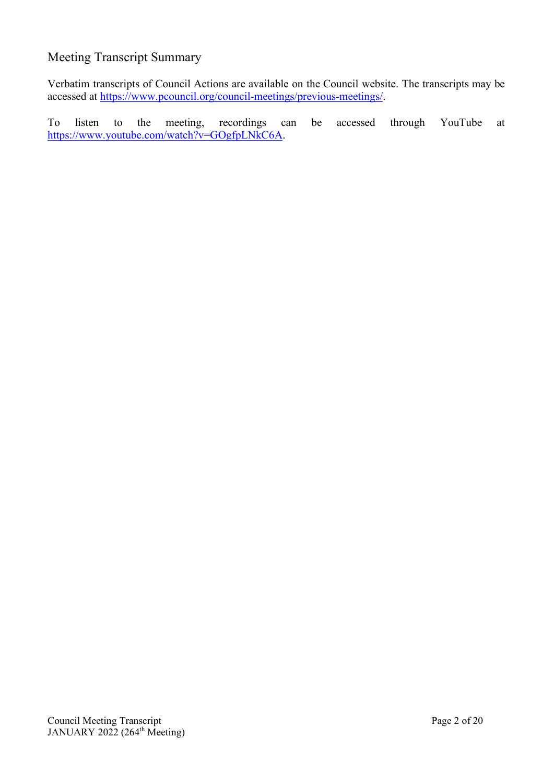## <span id="page-1-0"></span>Meeting Transcript Summary

Verbatim transcripts of Council Actions are available on the Council website. The transcripts may be accessed at [https://www.pcouncil.org/council-meetings/previous-meetings/.](https://www.pcouncil.org/council-meetings/previous-meetings/)

To listen to the meeting, recordings can be accessed through YouTube at [https://www.youtube.com/watch?v=GOgfpLNkC6A.](https://www.youtube.com/watch?v=GOgfpLNkC6A)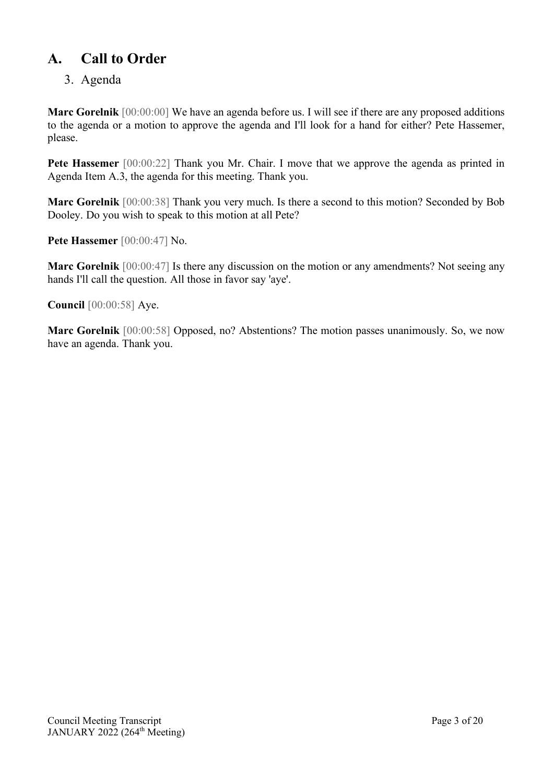# <span id="page-2-0"></span>**A. Call to Order**

# <span id="page-2-1"></span>3. Agenda

**Marc Gorelnik** [00:00:00] We have an agenda before us. I will see if there are any proposed additions to the agenda or a motion to approve the agenda and I'll look for a hand for either? Pete Hassemer, please.

**Pete Hassemer** [00:00:22] Thank you Mr. Chair. I move that we approve the agenda as printed in Agenda Item A.3, the agenda for this meeting. Thank you.

**Marc Gorelnik** [00:00:38] Thank you very much. Is there a second to this motion? Seconded by Bob Dooley. Do you wish to speak to this motion at all Pete?

**Pete Hassemer** [00:00:47] No.

**Marc Gorelnik** [00:00:47] Is there any discussion on the motion or any amendments? Not seeing any hands I'll call the question. All those in favor say 'aye'.

**Council** [00:00:58] Aye.

**Marc Gorelnik** [00:00:58] Opposed, no? Abstentions? The motion passes unanimously. So, we now have an agenda. Thank you.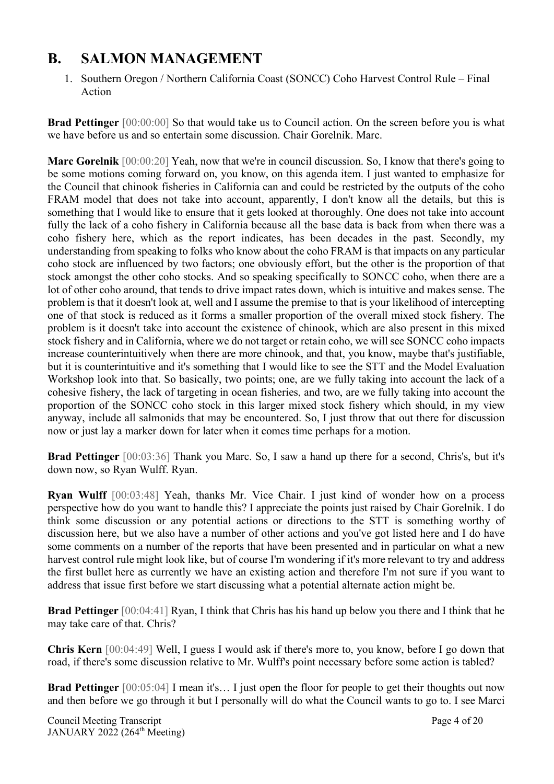# <span id="page-3-0"></span>**B. SALMON MANAGEMENT**

<span id="page-3-1"></span>1. Southern Oregon / Northern California Coast (SONCC) Coho Harvest Control Rule – Final Action

**Brad Pettinger** [00:00:00] So that would take us to Council action. On the screen before you is what we have before us and so entertain some discussion. Chair Gorelnik. Marc.

**Marc Gorelnik** [00:00:20] Yeah, now that we're in council discussion. So, I know that there's going to be some motions coming forward on, you know, on this agenda item. I just wanted to emphasize for the Council that chinook fisheries in California can and could be restricted by the outputs of the coho FRAM model that does not take into account, apparently, I don't know all the details, but this is something that I would like to ensure that it gets looked at thoroughly. One does not take into account fully the lack of a coho fishery in California because all the base data is back from when there was a coho fishery here, which as the report indicates, has been decades in the past. Secondly, my understanding from speaking to folks who know about the coho FRAM is that impacts on any particular coho stock are influenced by two factors; one obviously effort, but the other is the proportion of that stock amongst the other coho stocks. And so speaking specifically to SONCC coho, when there are a lot of other coho around, that tends to drive impact rates down, which is intuitive and makes sense. The problem is that it doesn't look at, well and I assume the premise to that is your likelihood of intercepting one of that stock is reduced as it forms a smaller proportion of the overall mixed stock fishery. The problem is it doesn't take into account the existence of chinook, which are also present in this mixed stock fishery and in California, where we do not target or retain coho, we will see SONCC coho impacts increase counterintuitively when there are more chinook, and that, you know, maybe that's justifiable, but it is counterintuitive and it's something that I would like to see the STT and the Model Evaluation Workshop look into that. So basically, two points; one, are we fully taking into account the lack of a cohesive fishery, the lack of targeting in ocean fisheries, and two, are we fully taking into account the proportion of the SONCC coho stock in this larger mixed stock fishery which should, in my view anyway, include all salmonids that may be encountered. So, I just throw that out there for discussion now or just lay a marker down for later when it comes time perhaps for a motion.

**Brad Pettinger** [00:03:36] Thank you Marc. So, I saw a hand up there for a second, Chris's, but it's down now, so Ryan Wulff. Ryan.

**Ryan Wulff** [00:03:48] Yeah, thanks Mr. Vice Chair. I just kind of wonder how on a process perspective how do you want to handle this? I appreciate the points just raised by Chair Gorelnik. I do think some discussion or any potential actions or directions to the STT is something worthy of discussion here, but we also have a number of other actions and you've got listed here and I do have some comments on a number of the reports that have been presented and in particular on what a new harvest control rule might look like, but of course I'm wondering if it's more relevant to try and address the first bullet here as currently we have an existing action and therefore I'm not sure if you want to address that issue first before we start discussing what a potential alternate action might be.

**Brad Pettinger** [00:04:41] Ryan, I think that Chris has his hand up below you there and I think that he may take care of that. Chris?

**Chris Kern** [00:04:49] Well, I guess I would ask if there's more to, you know, before I go down that road, if there's some discussion relative to Mr. Wulff's point necessary before some action is tabled?

**Brad Pettinger** [00:05:04] I mean it's... I just open the floor for people to get their thoughts out now and then before we go through it but I personally will do what the Council wants to go to. I see Marci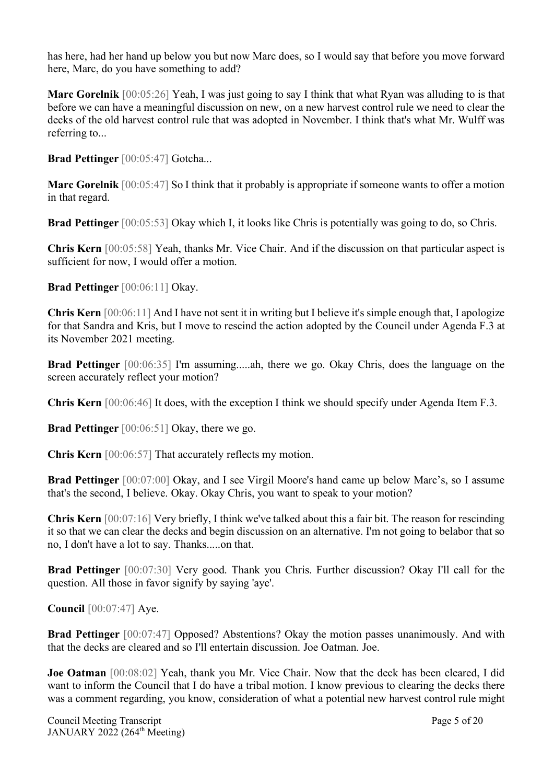has here, had her hand up below you but now Marc does, so I would say that before you move forward here, Marc, do you have something to add?

**Marc Gorelnik** [00:05:26] Yeah, I was just going to say I think that what Ryan was alluding to is that before we can have a meaningful discussion on new, on a new harvest control rule we need to clear the decks of the old harvest control rule that was adopted in November. I think that's what Mr. Wulff was referring to...

**Brad Pettinger** [00:05:47] Gotcha...

**Marc Gorelnik** [00:05:47] So I think that it probably is appropriate if someone wants to offer a motion in that regard.

**Brad Pettinger** [00:05:53] Okay which I, it looks like Chris is potentially was going to do, so Chris.

**Chris Kern** [00:05:58] Yeah, thanks Mr. Vice Chair. And if the discussion on that particular aspect is sufficient for now, I would offer a motion.

**Brad Pettinger** [00:06:11] Okay.

**Chris Kern** [00:06:11] And I have not sent it in writing but I believe it's simple enough that, I apologize for that Sandra and Kris, but I move to rescind the action adopted by the Council under Agenda F.3 at its November 2021 meeting.

**Brad Pettinger** [00:06:35] I'm assuming.....ah, there we go. Okay Chris, does the language on the screen accurately reflect your motion?

**Chris Kern** [00:06:46] It does, with the exception I think we should specify under Agenda Item F.3.

**Brad Pettinger** [00:06:51] Okay, there we go.

**Chris Kern** [00:06:57] That accurately reflects my motion.

**Brad Pettinger** [00:07:00] Okay, and I see Virgil Moore's hand came up below Marc's, so I assume that's the second, I believe. Okay. Okay Chris, you want to speak to your motion?

**Chris Kern** [00:07:16] Very briefly, I think we've talked about this a fair bit. The reason for rescinding it so that we can clear the decks and begin discussion on an alternative. I'm not going to belabor that so no, I don't have a lot to say. Thanks.....on that.

**Brad Pettinger** [00:07:30] Very good. Thank you Chris. Further discussion? Okay I'll call for the question. All those in favor signify by saying 'aye'.

**Council** [00:07:47] Aye.

**Brad Pettinger** [00:07:47] Opposed? Abstentions? Okay the motion passes unanimously. And with that the decks are cleared and so I'll entertain discussion. Joe Oatman. Joe.

**Joe Oatman** [00:08:02] Yeah, thank you Mr. Vice Chair. Now that the deck has been cleared, I did want to inform the Council that I do have a tribal motion. I know previous to clearing the decks there was a comment regarding, you know, consideration of what a potential new harvest control rule might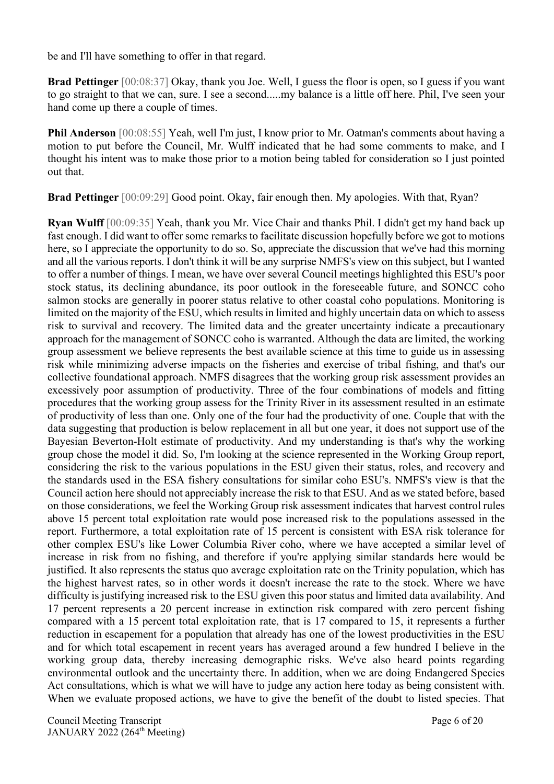be and I'll have something to offer in that regard.

**Brad Pettinger** [00:08:37] Okay, thank you Joe. Well, I guess the floor is open, so I guess if you want to go straight to that we can, sure. I see a second.....my balance is a little off here. Phil, I've seen your hand come up there a couple of times.

**Phil Anderson** [00:08:55] Yeah, well I'm just, I know prior to Mr. Oatman's comments about having a motion to put before the Council, Mr. Wulff indicated that he had some comments to make, and I thought his intent was to make those prior to a motion being tabled for consideration so I just pointed out that.

**Brad Pettinger** [00:09:29] Good point. Okay, fair enough then. My apologies. With that, Ryan?

**Ryan Wulff** [00:09:35] Yeah, thank you Mr. Vice Chair and thanks Phil. I didn't get my hand back up fast enough. I did want to offer some remarks to facilitate discussion hopefully before we got to motions here, so I appreciate the opportunity to do so. So, appreciate the discussion that we've had this morning and all the various reports. I don't think it will be any surprise NMFS's view on this subject, but I wanted to offer a number of things. I mean, we have over several Council meetings highlighted this ESU's poor stock status, its declining abundance, its poor outlook in the foreseeable future, and SONCC coho salmon stocks are generally in poorer status relative to other coastal coho populations. Monitoring is limited on the majority of the ESU, which results in limited and highly uncertain data on which to assess risk to survival and recovery. The limited data and the greater uncertainty indicate a precautionary approach for the management of SONCC coho is warranted. Although the data are limited, the working group assessment we believe represents the best available science at this time to guide us in assessing risk while minimizing adverse impacts on the fisheries and exercise of tribal fishing, and that's our collective foundational approach. NMFS disagrees that the working group risk assessment provides an excessively poor assumption of productivity. Three of the four combinations of models and fitting procedures that the working group assess for the Trinity River in its assessment resulted in an estimate of productivity of less than one. Only one of the four had the productivity of one. Couple that with the data suggesting that production is below replacement in all but one year, it does not support use of the Bayesian Beverton-Holt estimate of productivity. And my understanding is that's why the working group chose the model it did. So, I'm looking at the science represented in the Working Group report, considering the risk to the various populations in the ESU given their status, roles, and recovery and the standards used in the ESA fishery consultations for similar coho ESU's. NMFS's view is that the Council action here should not appreciably increase the risk to that ESU. And as we stated before, based on those considerations, we feel the Working Group risk assessment indicates that harvest control rules above 15 percent total exploitation rate would pose increased risk to the populations assessed in the report. Furthermore, a total exploitation rate of 15 percent is consistent with ESA risk tolerance for other complex ESU's like Lower Columbia River coho, where we have accepted a similar level of increase in risk from no fishing, and therefore if you're applying similar standards here would be justified. It also represents the status quo average exploitation rate on the Trinity population, which has the highest harvest rates, so in other words it doesn't increase the rate to the stock. Where we have difficulty is justifying increased risk to the ESU given this poor status and limited data availability. And 17 percent represents a 20 percent increase in extinction risk compared with zero percent fishing compared with a 15 percent total exploitation rate, that is 17 compared to 15, it represents a further reduction in escapement for a population that already has one of the lowest productivities in the ESU and for which total escapement in recent years has averaged around a few hundred I believe in the working group data, thereby increasing demographic risks. We've also heard points regarding environmental outlook and the uncertainty there. In addition, when we are doing Endangered Species Act consultations, which is what we will have to judge any action here today as being consistent with. When we evaluate proposed actions, we have to give the benefit of the doubt to listed species. That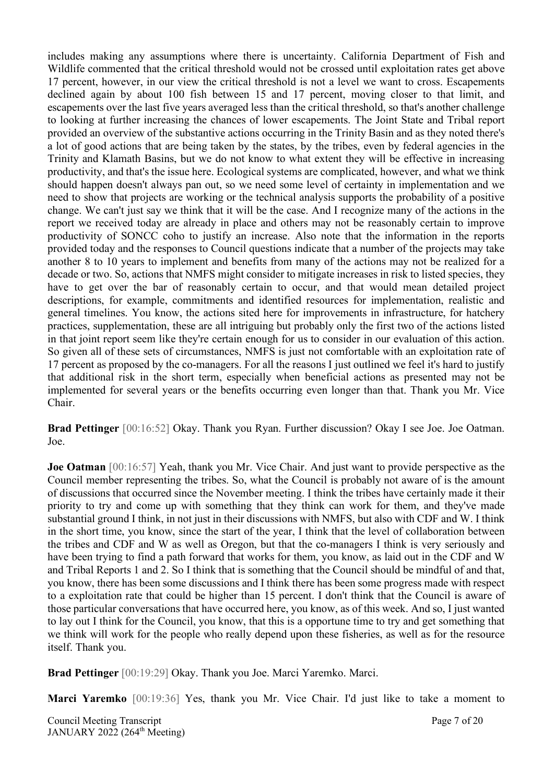includes making any assumptions where there is uncertainty. California Department of Fish and Wildlife commented that the critical threshold would not be crossed until exploitation rates get above 17 percent, however, in our view the critical threshold is not a level we want to cross. Escapements declined again by about 100 fish between 15 and 17 percent, moving closer to that limit, and escapements over the last five years averaged less than the critical threshold, so that's another challenge to looking at further increasing the chances of lower escapements. The Joint State and Tribal report provided an overview of the substantive actions occurring in the Trinity Basin and as they noted there's a lot of good actions that are being taken by the states, by the tribes, even by federal agencies in the Trinity and Klamath Basins, but we do not know to what extent they will be effective in increasing productivity, and that's the issue here. Ecological systems are complicated, however, and what we think should happen doesn't always pan out, so we need some level of certainty in implementation and we need to show that projects are working or the technical analysis supports the probability of a positive change. We can't just say we think that it will be the case. And I recognize many of the actions in the report we received today are already in place and others may not be reasonably certain to improve productivity of SONCC coho to justify an increase. Also note that the information in the reports provided today and the responses to Council questions indicate that a number of the projects may take another 8 to 10 years to implement and benefits from many of the actions may not be realized for a decade or two. So, actions that NMFS might consider to mitigate increases in risk to listed species, they have to get over the bar of reasonably certain to occur, and that would mean detailed project descriptions, for example, commitments and identified resources for implementation, realistic and general timelines. You know, the actions sited here for improvements in infrastructure, for hatchery practices, supplementation, these are all intriguing but probably only the first two of the actions listed in that joint report seem like they're certain enough for us to consider in our evaluation of this action. So given all of these sets of circumstances, NMFS is just not comfortable with an exploitation rate of 17 percent as proposed by the co-managers. For all the reasons I just outlined we feel it's hard to justify that additional risk in the short term, especially when beneficial actions as presented may not be implemented for several years or the benefits occurring even longer than that. Thank you Mr. Vice Chair.

**Brad Pettinger** [00:16:52] Okay. Thank you Ryan. Further discussion? Okay I see Joe. Joe Oatman. Joe.

**Joe Oatman** [00:16:57] Yeah, thank you Mr. Vice Chair. And just want to provide perspective as the Council member representing the tribes. So, what the Council is probably not aware of is the amount of discussions that occurred since the November meeting. I think the tribes have certainly made it their priority to try and come up with something that they think can work for them, and they've made substantial ground I think, in not just in their discussions with NMFS, but also with CDF and W. I think in the short time, you know, since the start of the year, I think that the level of collaboration between the tribes and CDF and W as well as Oregon, but that the co-managers I think is very seriously and have been trying to find a path forward that works for them, you know, as laid out in the CDF and W and Tribal Reports 1 and 2. So I think that is something that the Council should be mindful of and that, you know, there has been some discussions and I think there has been some progress made with respect to a exploitation rate that could be higher than 15 percent. I don't think that the Council is aware of those particular conversations that have occurred here, you know, as of this week. And so, I just wanted to lay out I think for the Council, you know, that this is a opportune time to try and get something that we think will work for the people who really depend upon these fisheries, as well as for the resource itself. Thank you.

**Brad Pettinger** [00:19:29] Okay. Thank you Joe. Marci Yaremko. Marci.

**Marci Yaremko** [00:19:36] Yes, thank you Mr. Vice Chair. I'd just like to take a moment to

Council Meeting Transcript **Page 7** of 20 JANUARY 2022 (264<sup>th</sup> Meeting)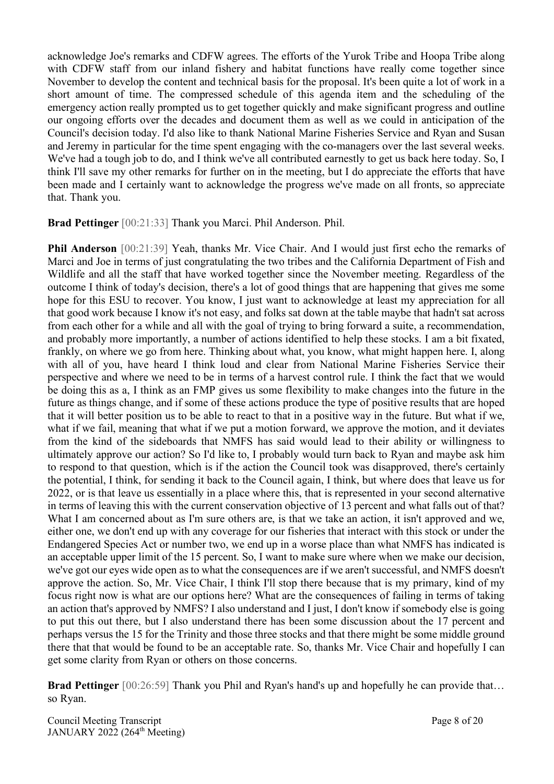acknowledge Joe's remarks and CDFW agrees. The efforts of the Yurok Tribe and Hoopa Tribe along with CDFW staff from our inland fishery and habitat functions have really come together since November to develop the content and technical basis for the proposal. It's been quite a lot of work in a short amount of time. The compressed schedule of this agenda item and the scheduling of the emergency action really prompted us to get together quickly and make significant progress and outline our ongoing efforts over the decades and document them as well as we could in anticipation of the Council's decision today. I'd also like to thank National Marine Fisheries Service and Ryan and Susan and Jeremy in particular for the time spent engaging with the co-managers over the last several weeks. We've had a tough job to do, and I think we've all contributed earnestly to get us back here today. So, I think I'll save my other remarks for further on in the meeting, but I do appreciate the efforts that have been made and I certainly want to acknowledge the progress we've made on all fronts, so appreciate that. Thank you.

**Brad Pettinger** [00:21:33] Thank you Marci. Phil Anderson. Phil.

**Phil Anderson** [00:21:39] Yeah, thanks Mr. Vice Chair. And I would just first echo the remarks of Marci and Joe in terms of just congratulating the two tribes and the California Department of Fish and Wildlife and all the staff that have worked together since the November meeting. Regardless of the outcome I think of today's decision, there's a lot of good things that are happening that gives me some hope for this ESU to recover. You know, I just want to acknowledge at least my appreciation for all that good work because I know it's not easy, and folks sat down at the table maybe that hadn't sat across from each other for a while and all with the goal of trying to bring forward a suite, a recommendation, and probably more importantly, a number of actions identified to help these stocks. I am a bit fixated, frankly, on where we go from here. Thinking about what, you know, what might happen here. I, along with all of you, have heard I think loud and clear from National Marine Fisheries Service their perspective and where we need to be in terms of a harvest control rule. I think the fact that we would be doing this as a, I think as an FMP gives us some flexibility to make changes into the future in the future as things change, and if some of these actions produce the type of positive results that are hoped that it will better position us to be able to react to that in a positive way in the future. But what if we, what if we fail, meaning that what if we put a motion forward, we approve the motion, and it deviates from the kind of the sideboards that NMFS has said would lead to their ability or willingness to ultimately approve our action? So I'd like to, I probably would turn back to Ryan and maybe ask him to respond to that question, which is if the action the Council took was disapproved, there's certainly the potential, I think, for sending it back to the Council again, I think, but where does that leave us for 2022, or is that leave us essentially in a place where this, that is represented in your second alternative in terms of leaving this with the current conservation objective of 13 percent and what falls out of that? What I am concerned about as I'm sure others are, is that we take an action, it isn't approved and we, either one, we don't end up with any coverage for our fisheries that interact with this stock or under the Endangered Species Act or number two, we end up in a worse place than what NMFS has indicated is an acceptable upper limit of the 15 percent. So, I want to make sure where when we make our decision, we've got our eyes wide open as to what the consequences are if we aren't successful, and NMFS doesn't approve the action. So, Mr. Vice Chair, I think I'll stop there because that is my primary, kind of my focus right now is what are our options here? What are the consequences of failing in terms of taking an action that's approved by NMFS? I also understand and I just, I don't know if somebody else is going to put this out there, but I also understand there has been some discussion about the 17 percent and perhaps versus the 15 for the Trinity and those three stocks and that there might be some middle ground there that that would be found to be an acceptable rate. So, thanks Mr. Vice Chair and hopefully I can get some clarity from Ryan or others on those concerns.

**Brad Pettinger** [00:26:59] Thank you Phil and Ryan's hand's up and hopefully he can provide that... so Ryan.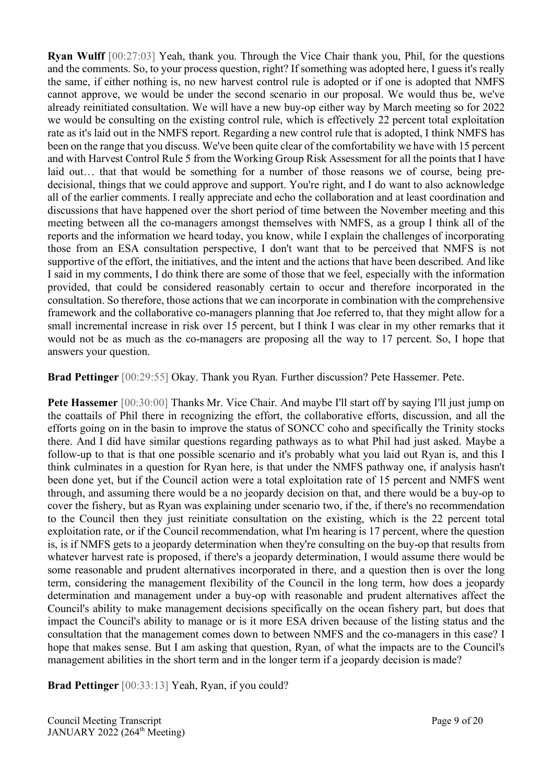**Ryan Wulff** [00:27:03] Yeah, thank you. Through the Vice Chair thank you, Phil, for the questions and the comments. So, to your process question, right? If something was adopted here, I guess it's really the same, if either nothing is, no new harvest control rule is adopted or if one is adopted that NMFS cannot approve, we would be under the second scenario in our proposal. We would thus be, we've already reinitiated consultation. We will have a new buy-op either way by March meeting so for 2022 we would be consulting on the existing control rule, which is effectively 22 percent total exploitation rate as it's laid out in the NMFS report. Regarding a new control rule that is adopted, I think NMFS has been on the range that you discuss. We've been quite clear of the comfortability we have with 15 percent and with Harvest Control Rule 5 from the Working Group Risk Assessment for all the points that I have laid out... that that would be something for a number of those reasons we of course, being predecisional, things that we could approve and support. You're right, and I do want to also acknowledge all of the earlier comments. I really appreciate and echo the collaboration and at least coordination and discussions that have happened over the short period of time between the November meeting and this meeting between all the co-managers amongst themselves with NMFS, as a group I think all of the reports and the information we heard today, you know, while I explain the challenges of incorporating those from an ESA consultation perspective, I don't want that to be perceived that NMFS is not supportive of the effort, the initiatives, and the intent and the actions that have been described. And like I said in my comments, I do think there are some of those that we feel, especially with the information provided, that could be considered reasonably certain to occur and therefore incorporated in the consultation. So therefore, those actions that we can incorporate in combination with the comprehensive framework and the collaborative co-managers planning that Joe referred to, that they might allow for a small incremental increase in risk over 15 percent, but I think I was clear in my other remarks that it would not be as much as the co-managers are proposing all the way to 17 percent. So, I hope that answers your question.

**Brad Pettinger** [00:29:55] Okay. Thank you Ryan. Further discussion? Pete Hassemer. Pete.

**Pete Hassemer** [00:30:00] Thanks Mr. Vice Chair. And maybe I'll start off by saying I'll just jump on the coattails of Phil there in recognizing the effort, the collaborative efforts, discussion, and all the efforts going on in the basin to improve the status of SONCC coho and specifically the Trinity stocks there. And I did have similar questions regarding pathways as to what Phil had just asked. Maybe a follow-up to that is that one possible scenario and it's probably what you laid out Ryan is, and this I think culminates in a question for Ryan here, is that under the NMFS pathway one, if analysis hasn't been done yet, but if the Council action were a total exploitation rate of 15 percent and NMFS went through, and assuming there would be a no jeopardy decision on that, and there would be a buy-op to cover the fishery, but as Ryan was explaining under scenario two, if the, if there's no recommendation to the Council then they just reinitiate consultation on the existing, which is the 22 percent total exploitation rate, or if the Council recommendation, what I'm hearing is 17 percent, where the question is, is if NMFS gets to a jeopardy determination when they're consulting on the buy-op that results from whatever harvest rate is proposed, if there's a jeopardy determination, I would assume there would be some reasonable and prudent alternatives incorporated in there, and a question then is over the long term, considering the management flexibility of the Council in the long term, how does a jeopardy determination and management under a buy-op with reasonable and prudent alternatives affect the Council's ability to make management decisions specifically on the ocean fishery part, but does that impact the Council's ability to manage or is it more ESA driven because of the listing status and the consultation that the management comes down to between NMFS and the co-managers in this case? I hope that makes sense. But I am asking that question, Ryan, of what the impacts are to the Council's management abilities in the short term and in the longer term if a jeopardy decision is made?

**Brad Pettinger** [00:33:13] Yeah, Ryan, if you could?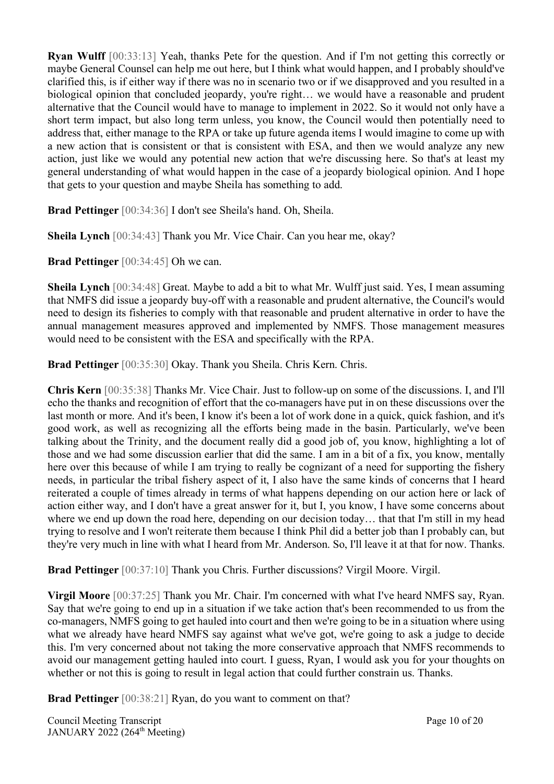**Ryan Wulff** [00:33:13] Yeah, thanks Pete for the question. And if I'm not getting this correctly or maybe General Counsel can help me out here, but I think what would happen, and I probably should've clarified this, is if either way if there was no in scenario two or if we disapproved and you resulted in a biological opinion that concluded jeopardy, you're right… we would have a reasonable and prudent alternative that the Council would have to manage to implement in 2022. So it would not only have a short term impact, but also long term unless, you know, the Council would then potentially need to address that, either manage to the RPA or take up future agenda items I would imagine to come up with a new action that is consistent or that is consistent with ESA, and then we would analyze any new action, just like we would any potential new action that we're discussing here. So that's at least my general understanding of what would happen in the case of a jeopardy biological opinion. And I hope that gets to your question and maybe Sheila has something to add.

**Brad Pettinger** [00:34:36] I don't see Sheila's hand. Oh, Sheila.

**Sheila Lynch** [00:34:43] Thank you Mr. Vice Chair. Can you hear me, okay?

**Brad Pettinger** [00:34:45] Oh we can.

**Sheila Lynch** [00:34:48] Great. Maybe to add a bit to what Mr. Wulff just said. Yes, I mean assuming that NMFS did issue a jeopardy buy-off with a reasonable and prudent alternative, the Council's would need to design its fisheries to comply with that reasonable and prudent alternative in order to have the annual management measures approved and implemented by NMFS. Those management measures would need to be consistent with the ESA and specifically with the RPA.

**Brad Pettinger** [00:35:30] Okay. Thank you Sheila. Chris Kern. Chris.

**Chris Kern** [00:35:38] Thanks Mr. Vice Chair. Just to follow-up on some of the discussions. I, and I'll echo the thanks and recognition of effort that the co-managers have put in on these discussions over the last month or more. And it's been, I know it's been a lot of work done in a quick, quick fashion, and it's good work, as well as recognizing all the efforts being made in the basin. Particularly, we've been talking about the Trinity, and the document really did a good job of, you know, highlighting a lot of those and we had some discussion earlier that did the same. I am in a bit of a fix, you know, mentally here over this because of while I am trying to really be cognizant of a need for supporting the fishery needs, in particular the tribal fishery aspect of it, I also have the same kinds of concerns that I heard reiterated a couple of times already in terms of what happens depending on our action here or lack of action either way, and I don't have a great answer for it, but I, you know, I have some concerns about where we end up down the road here, depending on our decision today… that that I'm still in my head trying to resolve and I won't reiterate them because I think Phil did a better job than I probably can, but they're very much in line with what I heard from Mr. Anderson. So, I'll leave it at that for now. Thanks.

**Brad Pettinger** [00:37:10] Thank you Chris. Further discussions? Virgil Moore. Virgil.

**Virgil Moore** [00:37:25] Thank you Mr. Chair. I'm concerned with what I've heard NMFS say, Ryan. Say that we're going to end up in a situation if we take action that's been recommended to us from the co-managers, NMFS going to get hauled into court and then we're going to be in a situation where using what we already have heard NMFS say against what we've got, we're going to ask a judge to decide this. I'm very concerned about not taking the more conservative approach that NMFS recommends to avoid our management getting hauled into court. I guess, Ryan, I would ask you for your thoughts on whether or not this is going to result in legal action that could further constrain us. Thanks.

**Brad Pettinger** [00:38:21] Ryan, do you want to comment on that?

Council Meeting Transcript **Page 10** of 20 JANUARY 2022 (264<sup>th</sup> Meeting)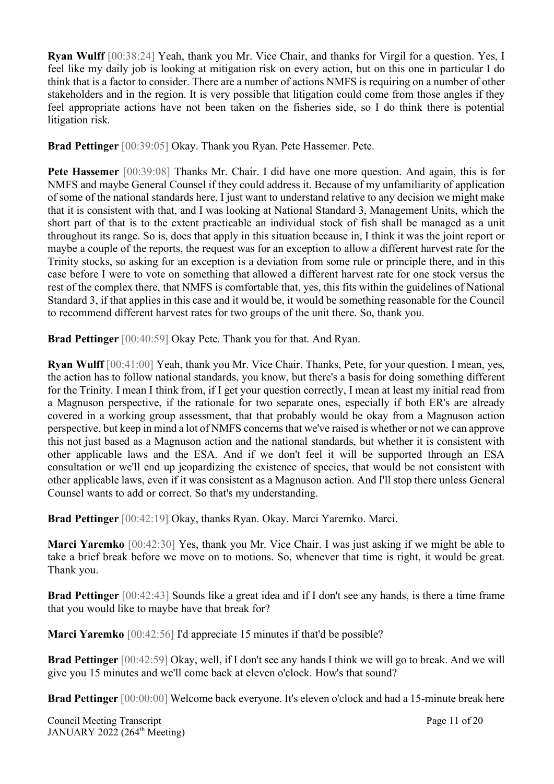**Ryan Wulff** [00:38:24] Yeah, thank you Mr. Vice Chair, and thanks for Virgil for a question. Yes, I feel like my daily job is looking at mitigation risk on every action, but on this one in particular I do think that is a factor to consider. There are a number of actions NMFS is requiring on a number of other stakeholders and in the region. It is very possible that litigation could come from those angles if they feel appropriate actions have not been taken on the fisheries side, so I do think there is potential litigation risk.

**Brad Pettinger** [00:39:05] Okay. Thank you Ryan. Pete Hassemer. Pete.

**Pete Hassemer** [00:39:08] Thanks Mr. Chair. I did have one more question. And again, this is for NMFS and maybe General Counsel if they could address it. Because of my unfamiliarity of application of some of the national standards here, I just want to understand relative to any decision we might make that it is consistent with that, and I was looking at National Standard 3, Management Units, which the short part of that is to the extent practicable an individual stock of fish shall be managed as a unit throughout its range. So is, does that apply in this situation because in, I think it was the joint report or maybe a couple of the reports, the request was for an exception to allow a different harvest rate for the Trinity stocks, so asking for an exception is a deviation from some rule or principle there, and in this case before I were to vote on something that allowed a different harvest rate for one stock versus the rest of the complex there, that NMFS is comfortable that, yes, this fits within the guidelines of National Standard 3, if that applies in this case and it would be, it would be something reasonable for the Council to recommend different harvest rates for two groups of the unit there. So, thank you.

**Brad Pettinger** [00:40:59] Okay Pete. Thank you for that. And Ryan.

**Ryan Wulff** [00:41:00] Yeah, thank you Mr. Vice Chair. Thanks, Pete, for your question. I mean, yes, the action has to follow national standards, you know, but there's a basis for doing something different for the Trinity. I mean I think from, if I get your question correctly, I mean at least my initial read from a Magnuson perspective, if the rationale for two separate ones, especially if both ER's are already covered in a working group assessment, that that probably would be okay from a Magnuson action perspective, but keep in mind a lot of NMFS concerns that we've raised is whether or not we can approve this not just based as a Magnuson action and the national standards, but whether it is consistent with other applicable laws and the ESA. And if we don't feel it will be supported through an ESA consultation or we'll end up jeopardizing the existence of species, that would be not consistent with other applicable laws, even if it was consistent as a Magnuson action. And I'll stop there unless General Counsel wants to add or correct. So that's my understanding.

**Brad Pettinger** [00:42:19] Okay, thanks Ryan. Okay. Marci Yaremko. Marci.

**Marci Yaremko** [00:42:30] Yes, thank you Mr. Vice Chair. I was just asking if we might be able to take a brief break before we move on to motions. So, whenever that time is right, it would be great. Thank you.

**Brad Pettinger** [00:42:43] Sounds like a great idea and if I don't see any hands, is there a time frame that you would like to maybe have that break for?

**Marci Yaremko** [00:42:56] I'd appreciate 15 minutes if that'd be possible?

**Brad Pettinger** [00:42:59] Okay, well, if I don't see any hands I think we will go to break. And we will give you 15 minutes and we'll come back at eleven o'clock. How's that sound?

**Brad Pettinger** [00:00:00] Welcome back everyone. It's eleven o'clock and had a 15-minute break here

Council Meeting Transcript **Page 11** of 20 JANUARY 2022 (264<sup>th</sup> Meeting)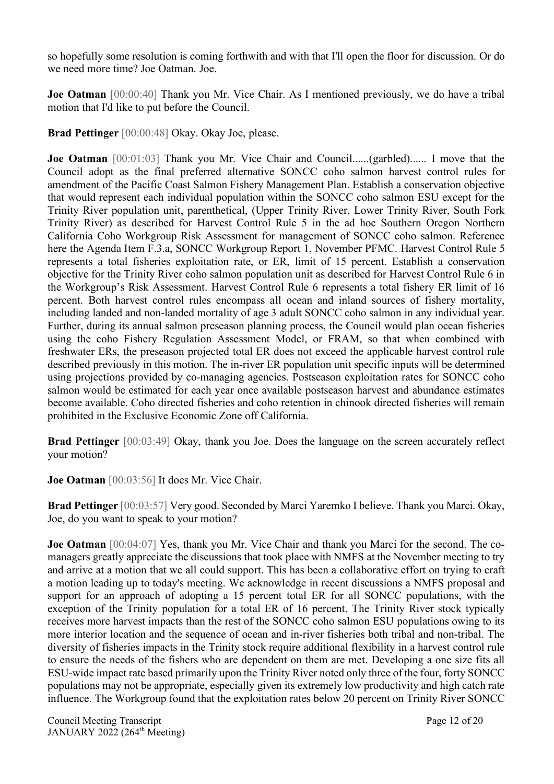so hopefully some resolution is coming forthwith and with that I'll open the floor for discussion. Or do we need more time? Joe Oatman. Joe.

**Joe Oatman** [00:00:40] Thank you Mr. Vice Chair. As I mentioned previously, we do have a tribal motion that I'd like to put before the Council.

**Brad Pettinger** [00:00:48] Okay. Okay Joe, please.

**Joe Oatman** [00:01:03] Thank you Mr. Vice Chair and Council......(garbled)...... I move that the Council adopt as the final preferred alternative SONCC coho salmon harvest control rules for amendment of the Pacific Coast Salmon Fishery Management Plan. Establish a conservation objective that would represent each individual population within the SONCC coho salmon ESU except for the Trinity River population unit, parenthetical, (Upper Trinity River, Lower Trinity River, South Fork Trinity River) as described for Harvest Control Rule 5 in the ad hoc Southern Oregon Northern California Coho Workgroup Risk Assessment for management of SONCC coho salmon. Reference here the Agenda Item F.3.a, SONCC Workgroup Report 1, November PFMC. Harvest Control Rule 5 represents a total fisheries exploitation rate, or ER, limit of 15 percent. Establish a conservation objective for the Trinity River coho salmon population unit as described for Harvest Control Rule 6 in the Workgroup's Risk Assessment. Harvest Control Rule 6 represents a total fishery ER limit of 16 percent. Both harvest control rules encompass all ocean and inland sources of fishery mortality, including landed and non-landed mortality of age 3 adult SONCC coho salmon in any individual year. Further, during its annual salmon preseason planning process, the Council would plan ocean fisheries using the coho Fishery Regulation Assessment Model, or FRAM, so that when combined with freshwater ERs, the preseason projected total ER does not exceed the applicable harvest control rule described previously in this motion. The in-river ER population unit specific inputs will be determined using projections provided by co-managing agencies. Postseason exploitation rates for SONCC coho salmon would be estimated for each year once available postseason harvest and abundance estimates become available. Coho directed fisheries and coho retention in chinook directed fisheries will remain prohibited in the Exclusive Economic Zone off California.

**Brad Pettinger** [00:03:49] Okay, thank you Joe. Does the language on the screen accurately reflect your motion?

**Joe Oatman** [00:03:56] It does Mr. Vice Chair.

**Brad Pettinger** [00:03:57] Very good. Seconded by Marci Yaremko I believe. Thank you Marci. Okay, Joe, do you want to speak to your motion?

**Joe Oatman** [00:04:07] Yes, thank you Mr. Vice Chair and thank you Marci for the second. The comanagers greatly appreciate the discussions that took place with NMFS at the November meeting to try and arrive at a motion that we all could support. This has been a collaborative effort on trying to craft a motion leading up to today's meeting. We acknowledge in recent discussions a NMFS proposal and support for an approach of adopting a 15 percent total ER for all SONCC populations, with the exception of the Trinity population for a total ER of 16 percent. The Trinity River stock typically receives more harvest impacts than the rest of the SONCC coho salmon ESU populations owing to its more interior location and the sequence of ocean and in-river fisheries both tribal and non-tribal. The diversity of fisheries impacts in the Trinity stock require additional flexibility in a harvest control rule to ensure the needs of the fishers who are dependent on them are met. Developing a one size fits all ESU-wide impact rate based primarily upon the Trinity River noted only three of the four, forty SONCC populations may not be appropriate, especially given its extremely low productivity and high catch rate influence. The Workgroup found that the exploitation rates below 20 percent on Trinity River SONCC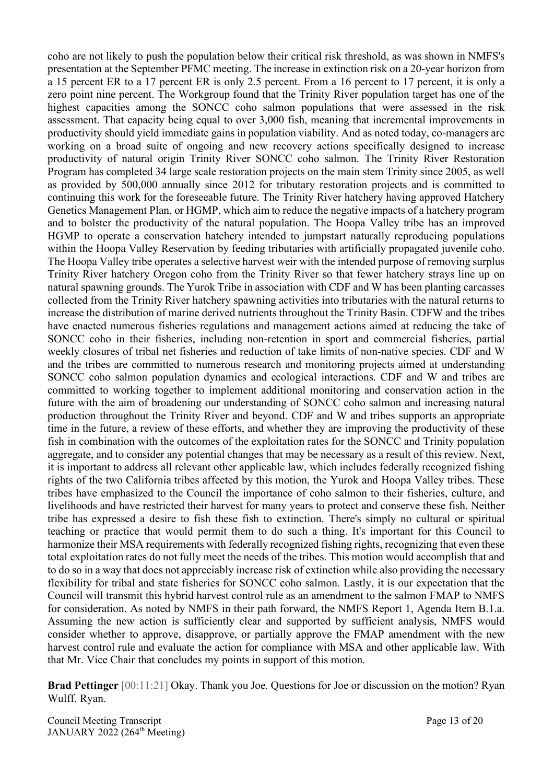coho are not likely to push the population below their critical risk threshold, as was shown in NMFS's presentation at the September PFMC meeting. The increase in extinction risk on a 20-year horizon from a 15 percent ER to a 17 percent ER is only 2.5 percent. From a 16 percent to 17 percent, it is only a zero point nine percent. The Workgroup found that the Trinity River population target has one of the highest capacities among the SONCC coho salmon populations that were assessed in the risk assessment. That capacity being equal to over 3,000 fish, meaning that incremental improvements in productivity should yield immediate gains in population viability. And as noted today, co-managers are working on a broad suite of ongoing and new recovery actions specifically designed to increase productivity of natural origin Trinity River SONCC coho salmon. The Trinity River Restoration Program has completed 34 large scale restoration projects on the main stem Trinity since 2005, as well as provided by 500,000 annually since 2012 for tributary restoration projects and is committed to continuing this work for the foreseeable future. The Trinity River hatchery having approved Hatchery Genetics Management Plan, or HGMP, which aim to reduce the negative impacts of a hatchery program and to bolster the productivity of the natural population. The Hoopa Valley tribe has an improved HGMP to operate a conservation hatchery intended to jumpstart naturally reproducing populations within the Hoopa Valley Reservation by feeding tributaries with artificially propagated juvenile coho. The Hoopa Valley tribe operates a selective harvest weir with the intended purpose of removing surplus Trinity River hatchery Oregon coho from the Trinity River so that fewer hatchery strays line up on natural spawning grounds. The Yurok Tribe in association with CDF and W has been planting carcasses collected from the Trinity River hatchery spawning activities into tributaries with the natural returns to increase the distribution of marine derived nutrients throughout the Trinity Basin. CDFW and the tribes have enacted numerous fisheries regulations and management actions aimed at reducing the take of SONCC coho in their fisheries, including non-retention in sport and commercial fisheries, partial weekly closures of tribal net fisheries and reduction of take limits of non-native species. CDF and W and the tribes are committed to numerous research and monitoring projects aimed at understanding SONCC coho salmon population dynamics and ecological interactions. CDF and W and tribes are committed to working together to implement additional monitoring and conservation action in the future with the aim of broadening our understanding of SONCC coho salmon and increasing natural production throughout the Trinity River and beyond. CDF and W and tribes supports an appropriate time in the future, a review of these efforts, and whether they are improving the productivity of these fish in combination with the outcomes of the exploitation rates for the SONCC and Trinity population aggregate, and to consider any potential changes that may be necessary as a result of this review. Next, it is important to address all relevant other applicable law, which includes federally recognized fishing rights of the two California tribes affected by this motion, the Yurok and Hoopa Valley tribes. These tribes have emphasized to the Council the importance of coho salmon to their fisheries, culture, and livelihoods and have restricted their harvest for many years to protect and conserve these fish. Neither tribe has expressed a desire to fish these fish to extinction. There's simply no cultural or spiritual teaching or practice that would permit them to do such a thing. It's important for this Council to harmonize their MSA requirements with federally recognized fishing rights, recognizing that even these total exploitation rates do not fully meet the needs of the tribes. This motion would accomplish that and to do so in a way that does not appreciably increase risk of extinction while also providing the necessary flexibility for tribal and state fisheries for SONCC coho salmon. Lastly, it is our expectation that the Council will transmit this hybrid harvest control rule as an amendment to the salmon FMAP to NMFS for consideration. As noted by NMFS in their path forward, the NMFS Report 1, Agenda Item B.1.a. Assuming the new action is sufficiently clear and supported by sufficient analysis, NMFS would consider whether to approve, disapprove, or partially approve the FMAP amendment with the new harvest control rule and evaluate the action for compliance with MSA and other applicable law. With that Mr. Vice Chair that concludes my points in support of this motion.

**Brad Pettinger** [00:11:21] Okay. Thank you Joe. Questions for Joe or discussion on the motion? Ryan Wulff. Ryan.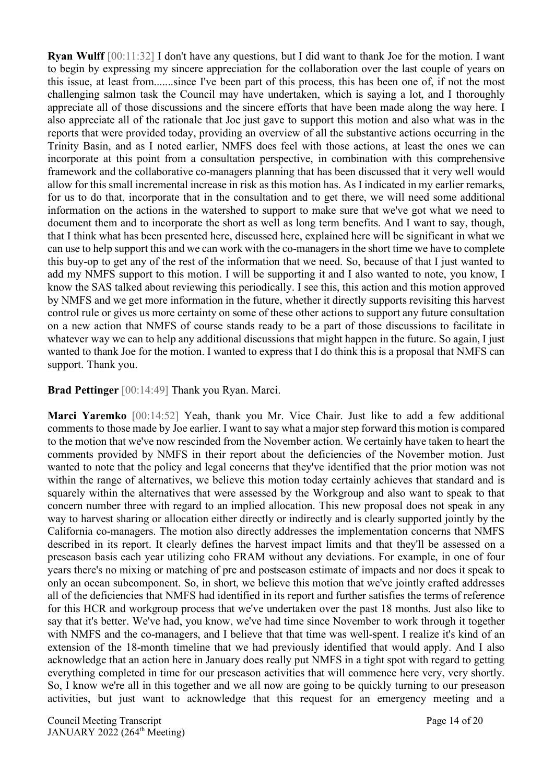**Ryan Wulff** [00:11:32] I don't have any questions, but I did want to thank Joe for the motion. I want to begin by expressing my sincere appreciation for the collaboration over the last couple of years on this issue, at least from.......since I've been part of this process, this has been one of, if not the most challenging salmon task the Council may have undertaken, which is saying a lot, and I thoroughly appreciate all of those discussions and the sincere efforts that have been made along the way here. I also appreciate all of the rationale that Joe just gave to support this motion and also what was in the reports that were provided today, providing an overview of all the substantive actions occurring in the Trinity Basin, and as I noted earlier, NMFS does feel with those actions, at least the ones we can incorporate at this point from a consultation perspective, in combination with this comprehensive framework and the collaborative co-managers planning that has been discussed that it very well would allow for this small incremental increase in risk as this motion has. As I indicated in my earlier remarks, for us to do that, incorporate that in the consultation and to get there, we will need some additional information on the actions in the watershed to support to make sure that we've got what we need to document them and to incorporate the short as well as long term benefits. And I want to say, though, that I think what has been presented here, discussed here, explained here will be significant in what we can use to help support this and we can work with the co-managers in the short time we have to complete this buy-op to get any of the rest of the information that we need. So, because of that I just wanted to add my NMFS support to this motion. I will be supporting it and I also wanted to note, you know, I know the SAS talked about reviewing this periodically. I see this, this action and this motion approved by NMFS and we get more information in the future, whether it directly supports revisiting this harvest control rule or gives us more certainty on some of these other actions to support any future consultation on a new action that NMFS of course stands ready to be a part of those discussions to facilitate in whatever way we can to help any additional discussions that might happen in the future. So again, I just wanted to thank Joe for the motion. I wanted to express that I do think this is a proposal that NMFS can support. Thank you.

#### **Brad Pettinger** [00:14:49] Thank you Ryan. Marci.

**Marci Yaremko** [00:14:52] Yeah, thank you Mr. Vice Chair. Just like to add a few additional comments to those made by Joe earlier. I want to say what a major step forward this motion is compared to the motion that we've now rescinded from the November action. We certainly have taken to heart the comments provided by NMFS in their report about the deficiencies of the November motion. Just wanted to note that the policy and legal concerns that they've identified that the prior motion was not within the range of alternatives, we believe this motion today certainly achieves that standard and is squarely within the alternatives that were assessed by the Workgroup and also want to speak to that concern number three with regard to an implied allocation. This new proposal does not speak in any way to harvest sharing or allocation either directly or indirectly and is clearly supported jointly by the California co-managers. The motion also directly addresses the implementation concerns that NMFS described in its report. It clearly defines the harvest impact limits and that they'll be assessed on a preseason basis each year utilizing coho FRAM without any deviations. For example, in one of four years there's no mixing or matching of pre and postseason estimate of impacts and nor does it speak to only an ocean subcomponent. So, in short, we believe this motion that we've jointly crafted addresses all of the deficiencies that NMFS had identified in its report and further satisfies the terms of reference for this HCR and workgroup process that we've undertaken over the past 18 months. Just also like to say that it's better. We've had, you know, we've had time since November to work through it together with NMFS and the co-managers, and I believe that that time was well-spent. I realize it's kind of an extension of the 18-month timeline that we had previously identified that would apply. And I also acknowledge that an action here in January does really put NMFS in a tight spot with regard to getting everything completed in time for our preseason activities that will commence here very, very shortly. So, I know we're all in this together and we all now are going to be quickly turning to our preseason activities, but just want to acknowledge that this request for an emergency meeting and a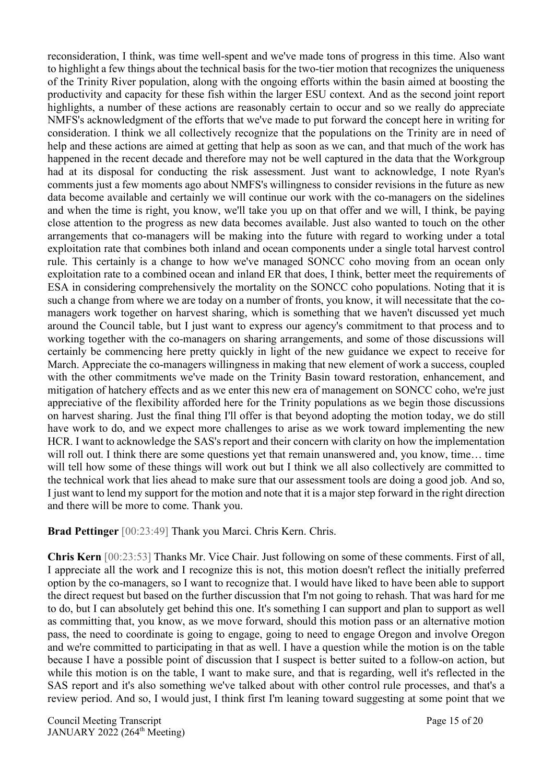reconsideration, I think, was time well-spent and we've made tons of progress in this time. Also want to highlight a few things about the technical basis for the two-tier motion that recognizes the uniqueness of the Trinity River population, along with the ongoing efforts within the basin aimed at boosting the productivity and capacity for these fish within the larger ESU context. And as the second joint report highlights, a number of these actions are reasonably certain to occur and so we really do appreciate NMFS's acknowledgment of the efforts that we've made to put forward the concept here in writing for consideration. I think we all collectively recognize that the populations on the Trinity are in need of help and these actions are aimed at getting that help as soon as we can, and that much of the work has happened in the recent decade and therefore may not be well captured in the data that the Workgroup had at its disposal for conducting the risk assessment. Just want to acknowledge, I note Ryan's comments just a few moments ago about NMFS's willingness to consider revisions in the future as new data become available and certainly we will continue our work with the co-managers on the sidelines and when the time is right, you know, we'll take you up on that offer and we will, I think, be paying close attention to the progress as new data becomes available. Just also wanted to touch on the other arrangements that co-managers will be making into the future with regard to working under a total exploitation rate that combines both inland and ocean components under a single total harvest control rule. This certainly is a change to how we've managed SONCC coho moving from an ocean only exploitation rate to a combined ocean and inland ER that does, I think, better meet the requirements of ESA in considering comprehensively the mortality on the SONCC coho populations. Noting that it is such a change from where we are today on a number of fronts, you know, it will necessitate that the comanagers work together on harvest sharing, which is something that we haven't discussed yet much around the Council table, but I just want to express our agency's commitment to that process and to working together with the co-managers on sharing arrangements, and some of those discussions will certainly be commencing here pretty quickly in light of the new guidance we expect to receive for March. Appreciate the co-managers willingness in making that new element of work a success, coupled with the other commitments we've made on the Trinity Basin toward restoration, enhancement, and mitigation of hatchery effects and as we enter this new era of management on SONCC coho, we're just appreciative of the flexibility afforded here for the Trinity populations as we begin those discussions on harvest sharing. Just the final thing I'll offer is that beyond adopting the motion today, we do still have work to do, and we expect more challenges to arise as we work toward implementing the new HCR. I want to acknowledge the SAS's report and their concern with clarity on how the implementation will roll out. I think there are some questions yet that remain unanswered and, you know, time… time will tell how some of these things will work out but I think we all also collectively are committed to the technical work that lies ahead to make sure that our assessment tools are doing a good job. And so, I just want to lend my support for the motion and note that it is a major step forward in the right direction and there will be more to come. Thank you.

**Brad Pettinger** [00:23:49] Thank you Marci. Chris Kern. Chris.

**Chris Kern** [00:23:53] Thanks Mr. Vice Chair. Just following on some of these comments. First of all, I appreciate all the work and I recognize this is not, this motion doesn't reflect the initially preferred option by the co-managers, so I want to recognize that. I would have liked to have been able to support the direct request but based on the further discussion that I'm not going to rehash. That was hard for me to do, but I can absolutely get behind this one. It's something I can support and plan to support as well as committing that, you know, as we move forward, should this motion pass or an alternative motion pass, the need to coordinate is going to engage, going to need to engage Oregon and involve Oregon and we're committed to participating in that as well. I have a question while the motion is on the table because I have a possible point of discussion that I suspect is better suited to a follow-on action, but while this motion is on the table, I want to make sure, and that is regarding, well it's reflected in the SAS report and it's also something we've talked about with other control rule processes, and that's a review period. And so, I would just, I think first I'm leaning toward suggesting at some point that we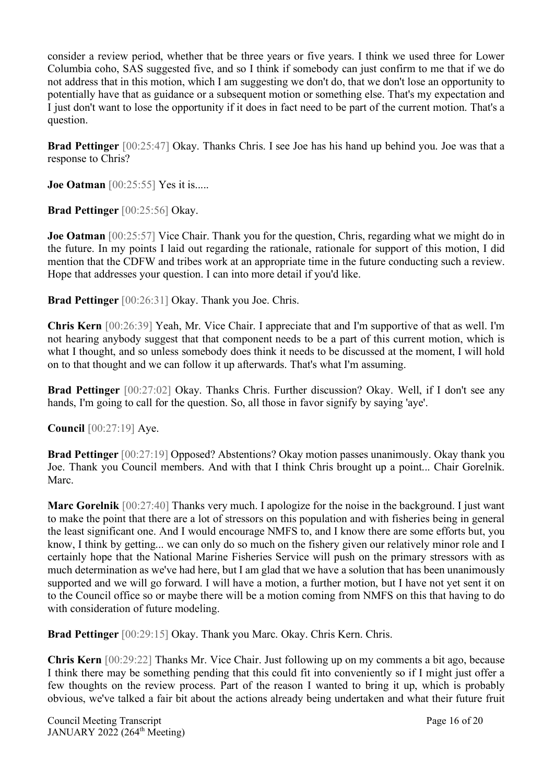consider a review period, whether that be three years or five years. I think we used three for Lower Columbia coho, SAS suggested five, and so I think if somebody can just confirm to me that if we do not address that in this motion, which I am suggesting we don't do, that we don't lose an opportunity to potentially have that as guidance or a subsequent motion or something else. That's my expectation and I just don't want to lose the opportunity if it does in fact need to be part of the current motion. That's a question.

**Brad Pettinger** [00:25:47] Okay. Thanks Chris. I see Joe has his hand up behind you. Joe was that a response to Chris?

**Joe Oatman** [00:25:55] Yes it is.....

**Brad Pettinger** [00:25:56] Okay.

**Joe Oatman** [00:25:57] Vice Chair. Thank you for the question, Chris, regarding what we might do in the future. In my points I laid out regarding the rationale, rationale for support of this motion, I did mention that the CDFW and tribes work at an appropriate time in the future conducting such a review. Hope that addresses your question. I can into more detail if you'd like.

**Brad Pettinger** [00:26:31] Okay. Thank you Joe. Chris.

**Chris Kern** [00:26:39] Yeah, Mr. Vice Chair. I appreciate that and I'm supportive of that as well. I'm not hearing anybody suggest that that component needs to be a part of this current motion, which is what I thought, and so unless somebody does think it needs to be discussed at the moment, I will hold on to that thought and we can follow it up afterwards. That's what I'm assuming.

**Brad Pettinger** [00:27:02] Okay. Thanks Chris. Further discussion? Okay. Well, if I don't see any hands, I'm going to call for the question. So, all those in favor signify by saying 'aye'.

**Council** [00:27:19] Aye.

**Brad Pettinger** [00:27:19] Opposed? Abstentions? Okay motion passes unanimously. Okay thank you Joe. Thank you Council members. And with that I think Chris brought up a point... Chair Gorelnik. Marc.

**Marc Gorelnik** [00:27:40] Thanks very much. I apologize for the noise in the background. I just want to make the point that there are a lot of stressors on this population and with fisheries being in general the least significant one. And I would encourage NMFS to, and I know there are some efforts but, you know, I think by getting... we can only do so much on the fishery given our relatively minor role and I certainly hope that the National Marine Fisheries Service will push on the primary stressors with as much determination as we've had here, but I am glad that we have a solution that has been unanimously supported and we will go forward. I will have a motion, a further motion, but I have not yet sent it on to the Council office so or maybe there will be a motion coming from NMFS on this that having to do with consideration of future modeling.

**Brad Pettinger** [00:29:15] Okay. Thank you Marc. Okay. Chris Kern. Chris.

**Chris Kern** [00:29:22] Thanks Mr. Vice Chair. Just following up on my comments a bit ago, because I think there may be something pending that this could fit into conveniently so if I might just offer a few thoughts on the review process. Part of the reason I wanted to bring it up, which is probably obvious, we've talked a fair bit about the actions already being undertaken and what their future fruit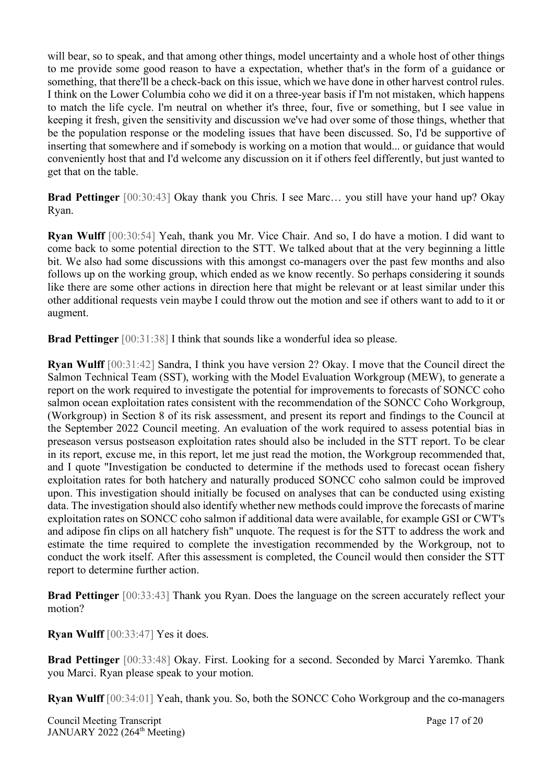will bear, so to speak, and that among other things, model uncertainty and a whole host of other things to me provide some good reason to have a expectation, whether that's in the form of a guidance or something, that there'll be a check-back on this issue, which we have done in other harvest control rules. I think on the Lower Columbia coho we did it on a three-year basis if I'm not mistaken, which happens to match the life cycle. I'm neutral on whether it's three, four, five or something, but I see value in keeping it fresh, given the sensitivity and discussion we've had over some of those things, whether that be the population response or the modeling issues that have been discussed. So, I'd be supportive of inserting that somewhere and if somebody is working on a motion that would... or guidance that would conveniently host that and I'd welcome any discussion on it if others feel differently, but just wanted to get that on the table.

**Brad Pettinger** [00:30:43] Okay thank you Chris. I see Marc… you still have your hand up? Okay Ryan.

**Ryan Wulff** [00:30:54] Yeah, thank you Mr. Vice Chair. And so, I do have a motion. I did want to come back to some potential direction to the STT. We talked about that at the very beginning a little bit. We also had some discussions with this amongst co-managers over the past few months and also follows up on the working group, which ended as we know recently. So perhaps considering it sounds like there are some other actions in direction here that might be relevant or at least similar under this other additional requests vein maybe I could throw out the motion and see if others want to add to it or augment.

**Brad Pettinger** [00:31:38] I think that sounds like a wonderful idea so please.

**Ryan Wulff** [00:31:42] Sandra, I think you have version 2? Okay. I move that the Council direct the Salmon Technical Team (SST), working with the Model Evaluation Workgroup (MEW), to generate a report on the work required to investigate the potential for improvements to forecasts of SONCC coho salmon ocean exploitation rates consistent with the recommendation of the SONCC Coho Workgroup, (Workgroup) in Section 8 of its risk assessment, and present its report and findings to the Council at the September 2022 Council meeting. An evaluation of the work required to assess potential bias in preseason versus postseason exploitation rates should also be included in the STT report. To be clear in its report, excuse me, in this report, let me just read the motion, the Workgroup recommended that, and I quote "Investigation be conducted to determine if the methods used to forecast ocean fishery exploitation rates for both hatchery and naturally produced SONCC coho salmon could be improved upon. This investigation should initially be focused on analyses that can be conducted using existing data. The investigation should also identify whether new methods could improve the forecasts of marine exploitation rates on SONCC coho salmon if additional data were available, for example GSI or CWT's and adipose fin clips on all hatchery fish" unquote. The request is for the STT to address the work and estimate the time required to complete the investigation recommended by the Workgroup, not to conduct the work itself. After this assessment is completed, the Council would then consider the STT report to determine further action.

**Brad Pettinger** [00:33:43] Thank you Ryan. Does the language on the screen accurately reflect your motion?

**Ryan Wulff** [00:33:47] Yes it does.

**Brad Pettinger** [00:33:48] Okay. First. Looking for a second. Seconded by Marci Yaremko. Thank you Marci. Ryan please speak to your motion.

**Ryan Wulff** [00:34:01] Yeah, thank you. So, both the SONCC Coho Workgroup and the co-managers

Council Meeting Transcript **Page 17** of 20 JANUARY 2022 (264<sup>th</sup> Meeting)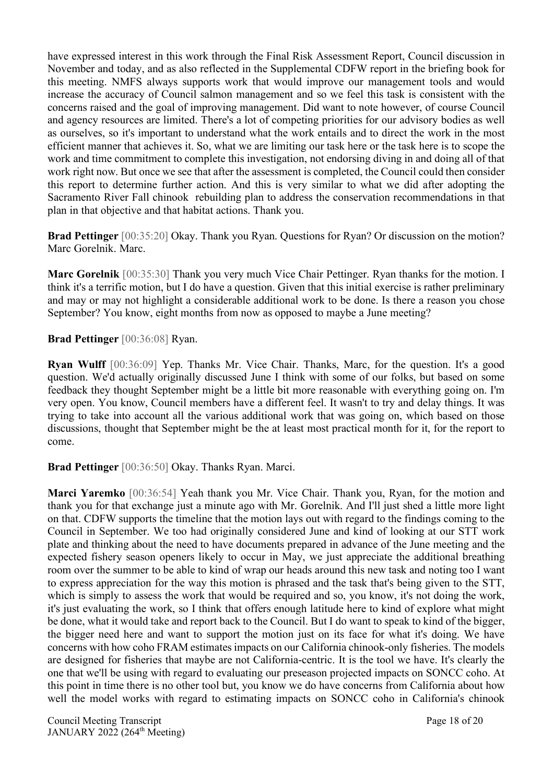have expressed interest in this work through the Final Risk Assessment Report, Council discussion in November and today, and as also reflected in the Supplemental CDFW report in the briefing book for this meeting. NMFS always supports work that would improve our management tools and would increase the accuracy of Council salmon management and so we feel this task is consistent with the concerns raised and the goal of improving management. Did want to note however, of course Council and agency resources are limited. There's a lot of competing priorities for our advisory bodies as well as ourselves, so it's important to understand what the work entails and to direct the work in the most efficient manner that achieves it. So, what we are limiting our task here or the task here is to scope the work and time commitment to complete this investigation, not endorsing diving in and doing all of that work right now. But once we see that after the assessment is completed, the Council could then consider this report to determine further action. And this is very similar to what we did after adopting the Sacramento River Fall chinook rebuilding plan to address the conservation recommendations in that plan in that objective and that habitat actions. Thank you.

**Brad Pettinger** [00:35:20] Okay. Thank you Ryan. Questions for Ryan? Or discussion on the motion? Marc Gorelnik. Marc.

**Marc Gorelnik** [00:35:30] Thank you very much Vice Chair Pettinger. Ryan thanks for the motion. I think it's a terrific motion, but I do have a question. Given that this initial exercise is rather preliminary and may or may not highlight a considerable additional work to be done. Is there a reason you chose September? You know, eight months from now as opposed to maybe a June meeting?

**Brad Pettinger** [00:36:08] Ryan.

**Ryan Wulff** [00:36:09] Yep. Thanks Mr. Vice Chair. Thanks, Marc, for the question. It's a good question. We'd actually originally discussed June I think with some of our folks, but based on some feedback they thought September might be a little bit more reasonable with everything going on. I'm very open. You know, Council members have a different feel. It wasn't to try and delay things. It was trying to take into account all the various additional work that was going on, which based on those discussions, thought that September might be the at least most practical month for it, for the report to come.

**Brad Pettinger** [00:36:50] Okay. Thanks Ryan. Marci.

**Marci Yaremko** [00:36:54] Yeah thank you Mr. Vice Chair. Thank you, Ryan, for the motion and thank you for that exchange just a minute ago with Mr. Gorelnik. And I'll just shed a little more light on that. CDFW supports the timeline that the motion lays out with regard to the findings coming to the Council in September. We too had originally considered June and kind of looking at our STT work plate and thinking about the need to have documents prepared in advance of the June meeting and the expected fishery season openers likely to occur in May, we just appreciate the additional breathing room over the summer to be able to kind of wrap our heads around this new task and noting too I want to express appreciation for the way this motion is phrased and the task that's being given to the STT, which is simply to assess the work that would be required and so, you know, it's not doing the work, it's just evaluating the work, so I think that offers enough latitude here to kind of explore what might be done, what it would take and report back to the Council. But I do want to speak to kind of the bigger, the bigger need here and want to support the motion just on its face for what it's doing. We have concerns with how coho FRAM estimates impacts on our California chinook-only fisheries. The models are designed for fisheries that maybe are not California-centric. It is the tool we have. It's clearly the one that we'll be using with regard to evaluating our preseason projected impacts on SONCC coho. At this point in time there is no other tool but, you know we do have concerns from California about how well the model works with regard to estimating impacts on SONCC coho in California's chinook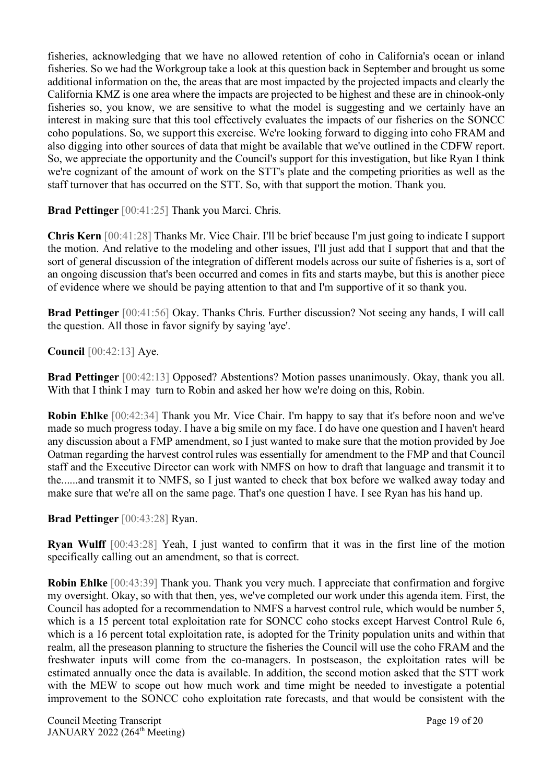fisheries, acknowledging that we have no allowed retention of coho in California's ocean or inland fisheries. So we had the Workgroup take a look at this question back in September and brought us some additional information on the, the areas that are most impacted by the projected impacts and clearly the California KMZ is one area where the impacts are projected to be highest and these are in chinook-only fisheries so, you know, we are sensitive to what the model is suggesting and we certainly have an interest in making sure that this tool effectively evaluates the impacts of our fisheries on the SONCC coho populations. So, we support this exercise. We're looking forward to digging into coho FRAM and also digging into other sources of data that might be available that we've outlined in the CDFW report. So, we appreciate the opportunity and the Council's support for this investigation, but like Ryan I think we're cognizant of the amount of work on the STT's plate and the competing priorities as well as the staff turnover that has occurred on the STT. So, with that support the motion. Thank you.

**Brad Pettinger** [00:41:25] Thank you Marci. Chris.

**Chris Kern** [00:41:28] Thanks Mr. Vice Chair. I'll be brief because I'm just going to indicate I support the motion. And relative to the modeling and other issues, I'll just add that I support that and that the sort of general discussion of the integration of different models across our suite of fisheries is a, sort of an ongoing discussion that's been occurred and comes in fits and starts maybe, but this is another piece of evidence where we should be paying attention to that and I'm supportive of it so thank you.

**Brad Pettinger** [00:41:56] Okay. Thanks Chris. Further discussion? Not seeing any hands, I will call the question. All those in favor signify by saying 'aye'.

**Council** [00:42:13] Aye.

**Brad Pettinger** [00:42:13] Opposed? Abstentions? Motion passes unanimously. Okay, thank you all. With that I think I may turn to Robin and asked her how we're doing on this, Robin.

**Robin Ehlke** [00:42:34] Thank you Mr. Vice Chair. I'm happy to say that it's before noon and we've made so much progress today. I have a big smile on my face. I do have one question and I haven't heard any discussion about a FMP amendment, so I just wanted to make sure that the motion provided by Joe Oatman regarding the harvest control rules was essentially for amendment to the FMP and that Council staff and the Executive Director can work with NMFS on how to draft that language and transmit it to the......and transmit it to NMFS, so I just wanted to check that box before we walked away today and make sure that we're all on the same page. That's one question I have. I see Ryan has his hand up.

## **Brad Pettinger** [00:43:28] Ryan.

**Ryan Wulff** [00:43:28] Yeah, I just wanted to confirm that it was in the first line of the motion specifically calling out an amendment, so that is correct.

**Robin Ehlke** [00:43:39] Thank you. Thank you very much. I appreciate that confirmation and forgive my oversight. Okay, so with that then, yes, we've completed our work under this agenda item. First, the Council has adopted for a recommendation to NMFS a harvest control rule, which would be number 5, which is a 15 percent total exploitation rate for SONCC coho stocks except Harvest Control Rule 6, which is a 16 percent total exploitation rate, is adopted for the Trinity population units and within that realm, all the preseason planning to structure the fisheries the Council will use the coho FRAM and the freshwater inputs will come from the co-managers. In postseason, the exploitation rates will be estimated annually once the data is available. In addition, the second motion asked that the STT work with the MEW to scope out how much work and time might be needed to investigate a potential improvement to the SONCC coho exploitation rate forecasts, and that would be consistent with the